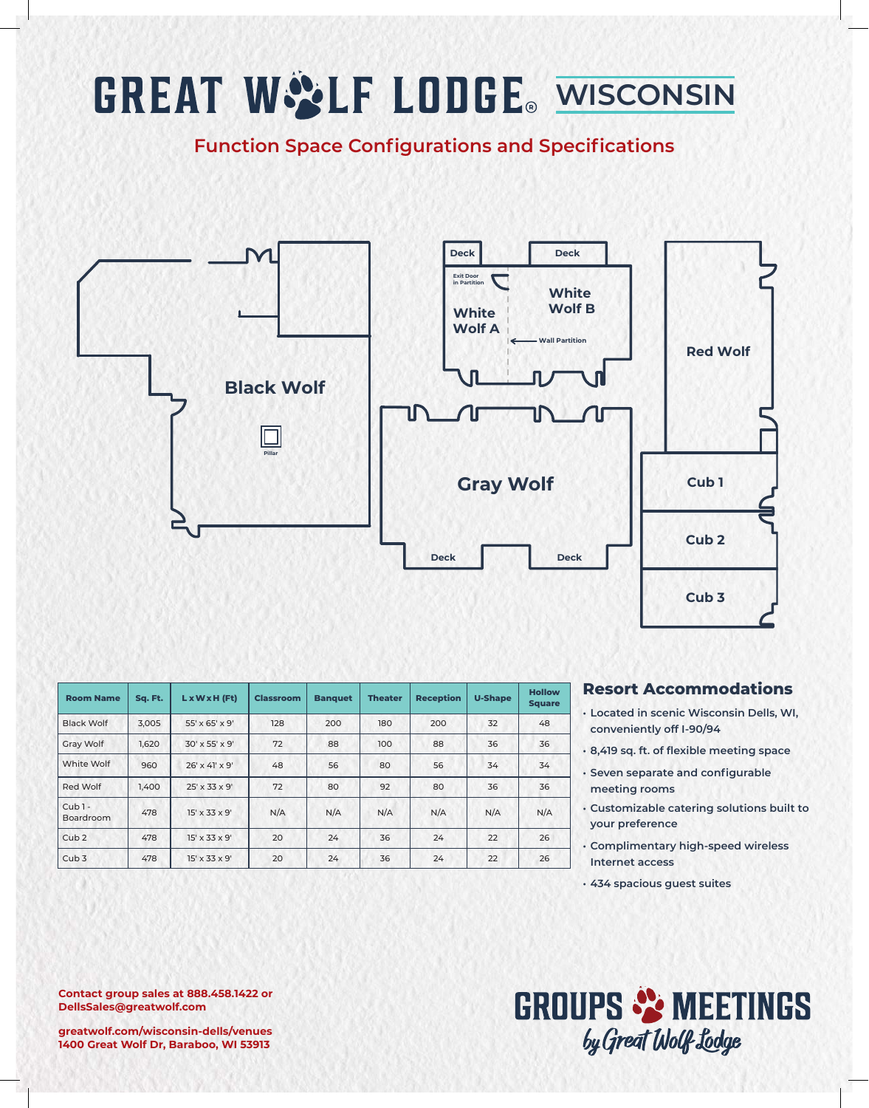## **GREAT WOLF LODGE** WISCONSIN

**Function Space Configurations and Specifications**



| <b>Room Name</b>      | Sq. Ft. | $L \times W \times H$ (Ft) | <b>Classroom</b> | <b>Banquet</b> | <b>Theater</b> | <b>Reception</b> | <b>U-Shape</b> | <b>Hollow</b><br><b>Square</b> |
|-----------------------|---------|----------------------------|------------------|----------------|----------------|------------------|----------------|--------------------------------|
| <b>Black Wolf</b>     | 3.005   | $55' \times 65' \times 9'$ | 128              | 200            | 180            | 200              | 32             | 48                             |
| Gray Wolf             | 1,620   | $30' \times 55' \times 9'$ | 72               | 88             | 100            | 88               | 36             | 36                             |
| White Wolf            | 960     | $26' \times 41' \times 9'$ | 48               | 56             | 80             | 56               | 34             | 34                             |
| Red Wolf              | 1.400   | $25' \times 33 \times 9'$  | 72               | 80             | 92             | 80               | 36             | 36                             |
| $Cub1 -$<br>Boardroom | 478     | $15' \times 33 \times 9'$  | N/A              | N/A            | N/A            | N/A              | N/A            | N/A                            |
| Cub <sub>2</sub>      | 478     | $15' \times 33 \times 9'$  | 20               | 24             | 36             | 24               | 22             | 26                             |
| Cub <sub>3</sub>      | 478     | $15' \times 33 \times 9'$  | 20               | 24             | 36             | 24               | 22             | 26                             |

#### **Resort Accommodations**

- **• Located in scenic Wisconsin Dells, WI, conveniently off I-90/94**
- **• 8,419 sq. ft. of flexible meeting space**
- **• Seven separate and configurable meeting rooms**
- **• Customizable catering solutions built to your preference**
- **• Complimentary high-speed wireless Internet access**
- **• 434 spacious guest suites**

### **GROUPS & MEETINGS** by Great Wolf Lodge

**Contact group sales at 888.458.1422 or DellsSales@greatwolf.com**

**greatwolf.com/wisconsin-dells/venues 1400 Great Wolf Dr, Baraboo, WI 53913**